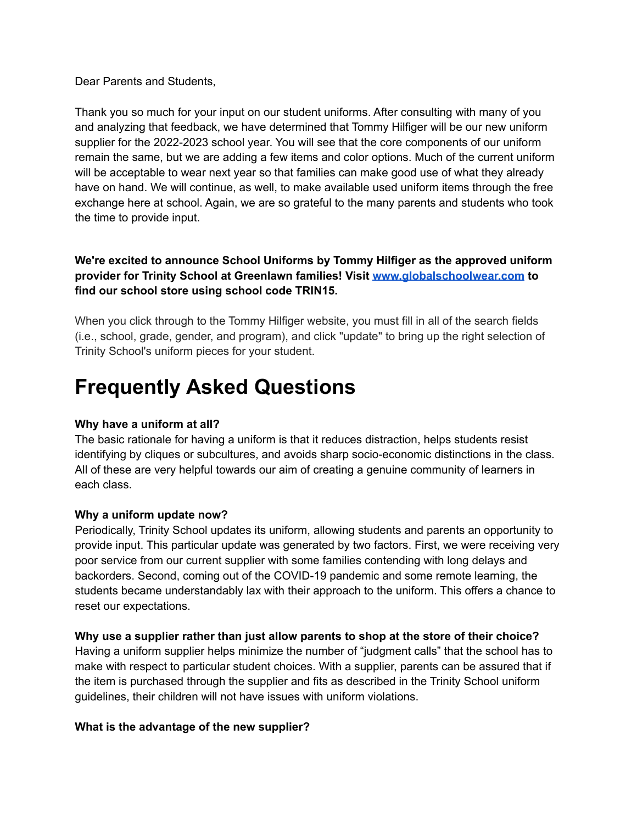Dear Parents and Students,

Thank you so much for your input on our student uniforms. After consulting with many of you and analyzing that feedback, we have determined that Tommy Hilfiger will be our new uniform supplier for the 2022-2023 school year. You will see that the core components of our uniform remain the same, but we are adding a few items and color options. Much of the current uniform will be acceptable to wear next year so that families can make good use of what they already have on hand. We will continue, as well, to make available used uniform items through the free exchange here at school. Again, we are so grateful to the many parents and students who took the time to provide input.

## **We're excited to announce School Uniforms by Tommy Hilfiger as the approved uniform provider for Trinity School at Greenlawn families! Visit [www.globalschoolwear.com](http://www.globalschoolwear.com/) to find our school store using school code TRIN15.**

When you click through to the Tommy Hilfiger website, you must fill in all of the search fields (i.e., school, grade, gender, and program), and click "update" to bring up the right selection of Trinity School's uniform pieces for your student.

# **Frequently Asked Questions**

### **Why have a uniform at all?**

The basic rationale for having a uniform is that it reduces distraction, helps students resist identifying by cliques or subcultures, and avoids sharp socio-economic distinctions in the class. All of these are very helpful towards our aim of creating a genuine community of learners in each class.

### **Why a uniform update now?**

Periodically, Trinity School updates its uniform, allowing students and parents an opportunity to provide input. This particular update was generated by two factors. First, we were receiving very poor service from our current supplier with some families contending with long delays and backorders. Second, coming out of the COVID-19 pandemic and some remote learning, the students became understandably lax with their approach to the uniform. This offers a chance to reset our expectations.

### **Why use a supplier rather than just allow parents to shop at the store of their choice?**

Having a uniform supplier helps minimize the number of "judgment calls" that the school has to make with respect to particular student choices. With a supplier, parents can be assured that if the item is purchased through the supplier and fits as described in the Trinity School uniform guidelines, their children will not have issues with uniform violations.

### **What is the advantage of the new supplier?**